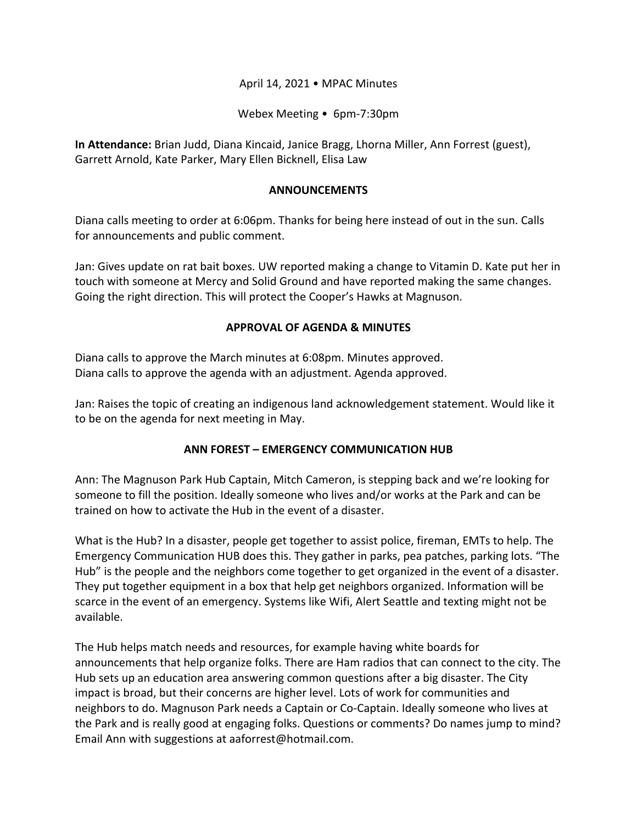## April 14, 2021 • MPAC Minutes

Webex Meeting • 6pm-7:30pm

**In Attendance:** Brian Judd, Diana Kincaid, Janice Bragg, Lhorna Miller, Ann Forrest (guest), Garrett Arnold, Kate Parker, Mary Ellen Bicknell, Elisa Law

#### **ANNOUNCEMENTS**

Diana calls meeting to order at 6:06pm. Thanks for being here instead of out in the sun. Calls for announcements and public comment.

Jan: Gives update on rat bait boxes. UW reported making a change to Vitamin D. Kate put her in touch with someone at Mercy and Solid Ground and have reported making the same changes. Going the right direction. This will protect the Cooper's Hawks at Magnuson.

#### **APPROVAL OF AGENDA & MINUTES**

Diana calls to approve the March minutes at 6:08pm. Minutes approved. Diana calls to approve the agenda with an adjustment. Agenda approved.

Jan: Raises the topic of creating an indigenous land acknowledgement statement. Would like it to be on the agenda for next meeting in May.

## **ANN FOREST – EMERGENCY COMMUNICATION HUB**

Ann: The Magnuson Park Hub Captain, Mitch Cameron, is stepping back and we're looking for someone to fill the position. Ideally someone who lives and/or works at the Park and can be trained on how to activate the Hub in the event of a disaster.

What is the Hub? In a disaster, people get together to assist police, fireman, EMTs to help. The Emergency Communication HUB does this. They gather in parks, pea patches, parking lots. "The Hub" is the people and the neighbors come together to get organized in the event of a disaster. They put together equipment in a box that help get neighbors organized. Information will be scarce in the event of an emergency. Systems like Wifi, Alert Seattle and texting might not be available.

The Hub helps match needs and resources, for example having white boards for announcements that help organize folks. There are Ham radios that can connect to the city. The Hub sets up an education area answering common questions after a big disaster. The City impact is broad, but their concerns are higher level. Lots of work for communities and neighbors to do. Magnuson Park needs a Captain or Co-Captain. Ideally someone who lives at the Park and is really good at engaging folks. Questions or comments? Do names jump to mind? Email Ann with suggestions at aaforrest@hotmail.com.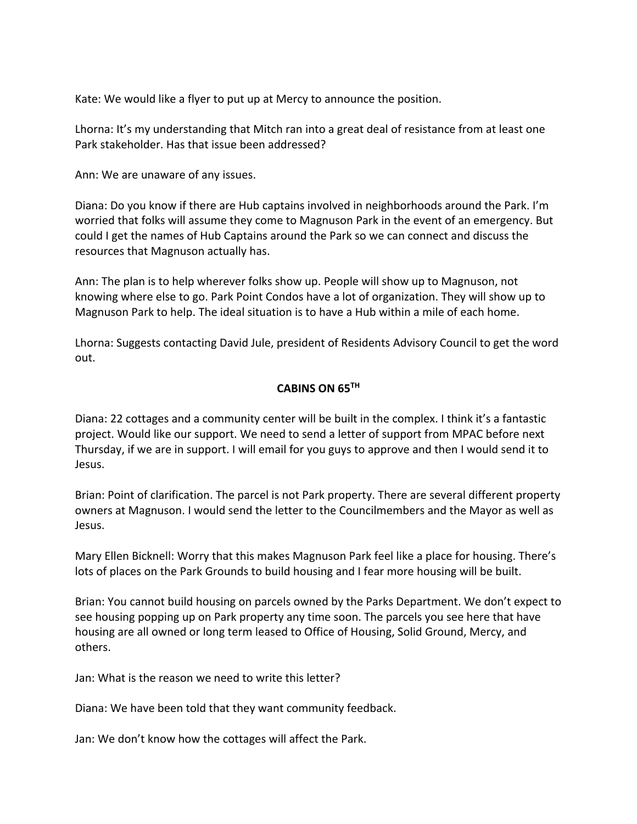Kate: We would like a flyer to put up at Mercy to announce the position.

Lhorna: It's my understanding that Mitch ran into a great deal of resistance from at least one Park stakeholder. Has that issue been addressed?

Ann: We are unaware of any issues.

Diana: Do you know if there are Hub captains involved in neighborhoods around the Park. I'm worried that folks will assume they come to Magnuson Park in the event of an emergency. But could I get the names of Hub Captains around the Park so we can connect and discuss the resources that Magnuson actually has.

Ann: The plan is to help wherever folks show up. People will show up to Magnuson, not knowing where else to go. Park Point Condos have a lot of organization. They will show up to Magnuson Park to help. The ideal situation is to have a Hub within a mile of each home.

Lhorna: Suggests contacting David Jule, president of Residents Advisory Council to get the word out.

# **CABINS ON 65TH**

Diana: 22 cottages and a community center will be built in the complex. I think it's a fantastic project. Would like our support. We need to send a letter of support from MPAC before next Thursday, if we are in support. I will email for you guys to approve and then I would send it to Jesus.

Brian: Point of clarification. The parcel is not Park property. There are several different property owners at Magnuson. I would send the letter to the Councilmembers and the Mayor as well as Jesus.

Mary Ellen Bicknell: Worry that this makes Magnuson Park feel like a place for housing. There's lots of places on the Park Grounds to build housing and I fear more housing will be built.

Brian: You cannot build housing on parcels owned by the Parks Department. We don't expect to see housing popping up on Park property any time soon. The parcels you see here that have housing are all owned or long term leased to Office of Housing, Solid Ground, Mercy, and others.

Jan: What is the reason we need to write this letter?

Diana: We have been told that they want community feedback.

Jan: We don't know how the cottages will affect the Park.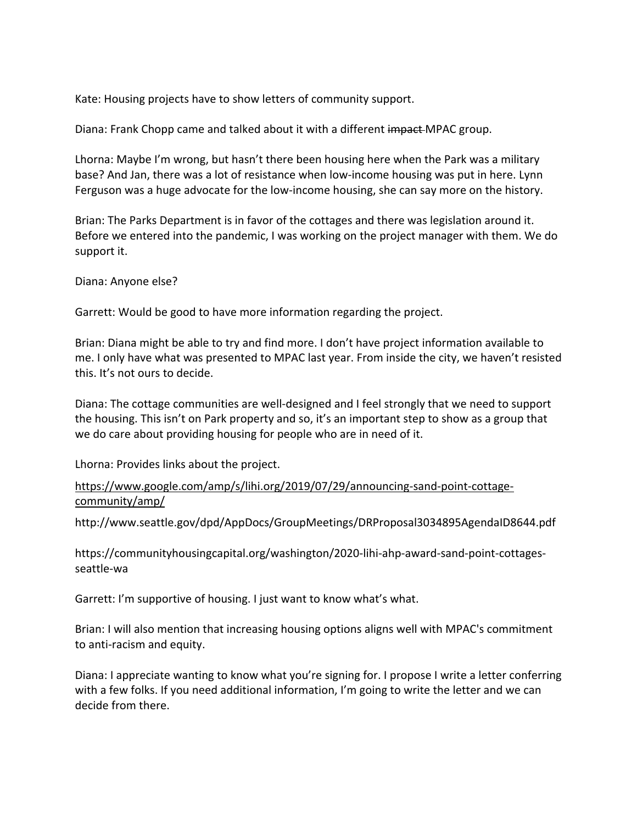Kate: Housing projects have to show letters of community support.

Diana: Frank Chopp came and talked about it with a different impact MPAC group.

Lhorna: Maybe I'm wrong, but hasn't there been housing here when the Park was a military base? And Jan, there was a lot of resistance when low-income housing was put in here. Lynn Ferguson was a huge advocate for the low-income housing, she can say more on the history.

Brian: The Parks Department is in favor of the cottages and there was legislation around it. Before we entered into the pandemic, I was working on the project manager with them. We do support it.

Diana: Anyone else?

Garrett: Would be good to have more information regarding the project.

Brian: Diana might be able to try and find more. I don't have project information available to me. I only have what was presented to MPAC last year. From inside the city, we haven't resisted this. It's not ours to decide.

Diana: The cottage communities are well-designed and I feel strongly that we need to support the housing. This isn't on Park property and so, it's an important step to show as a group that we do care about providing housing for people who are in need of it.

Lhorna: Provides links about the project.

# https://www.google.com/amp/s/lihi.org/2019/07/29/announcing-sand-point-cottagecommunity/amp/

http://www.seattle.gov/dpd/AppDocs/GroupMeetings/DRProposal3034895AgendaID8644.pdf

https://communityhousingcapital.org/washington/2020-lihi-ahp-award-sand-point-cottagesseattle-wa

Garrett: I'm supportive of housing. I just want to know what's what.

Brian: I will also mention that increasing housing options aligns well with MPAC's commitment to anti-racism and equity.

Diana: I appreciate wanting to know what you're signing for. I propose I write a letter conferring with a few folks. If you need additional information, I'm going to write the letter and we can decide from there.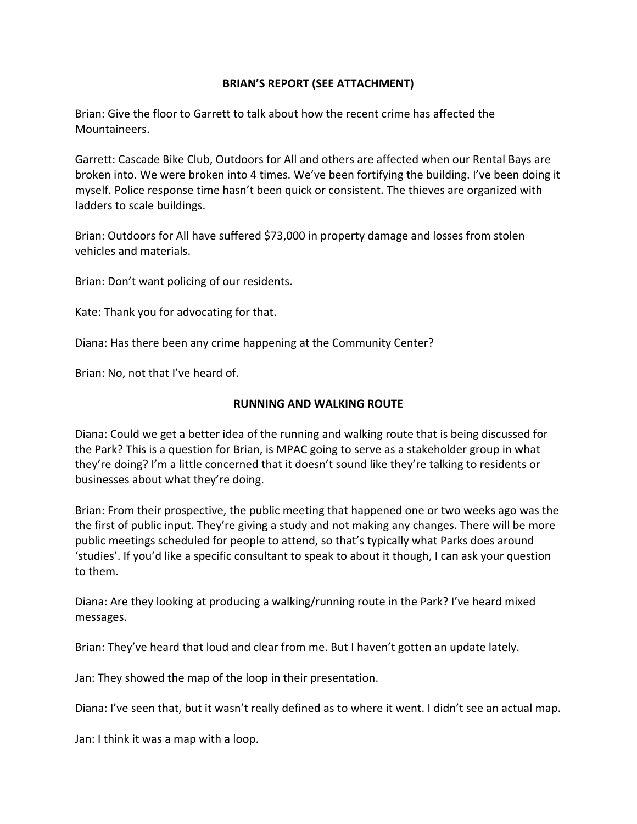## **BRIAN'S REPORT (SEE ATTACHMENT)**

Brian: Give the floor to Garrett to talk about how the recent crime has affected the Mountaineers.

Garrett: Cascade Bike Club, Outdoors for All and others are affected when our Rental Bays are broken into. We were broken into 4 times. We've been fortifying the building. I've been doing it myself. Police response time hasn't been quick or consistent. The thieves are organized with ladders to scale buildings.

Brian: Outdoors for All have suffered \$73,000 in property damage and losses from stolen vehicles and materials.

Brian: Don't want policing of our residents.

Kate: Thank you for advocating for that.

Diana: Has there been any crime happening at the Community Center?

Brian: No, not that I've heard of.

# **RUNNING AND WALKING ROUTE**

Diana: Could we get a better idea of the running and walking route that is being discussed for the Park? This is a question for Brian, is MPAC going to serve as a stakeholder group in what they're doing? I'm a little concerned that it doesn't sound like they're talking to residents or businesses about what they're doing.

Brian: From their prospective, the public meeting that happened one or two weeks ago was the the first of public input. They're giving a study and not making any changes. There will be more public meetings scheduled for people to attend, so that's typically what Parks does around 'studies'. If you'd like a specific consultant to speak to about it though, I can ask your question to them.

Diana: Are they looking at producing a walking/running route in the Park? I've heard mixed messages.

Brian: They've heard that loud and clear from me. But I haven't gotten an update lately.

Jan: They showed the map of the loop in their presentation.

Diana: I've seen that, but it wasn't really defined as to where it went. I didn't see an actual map.

Jan: I think it was a map with a loop.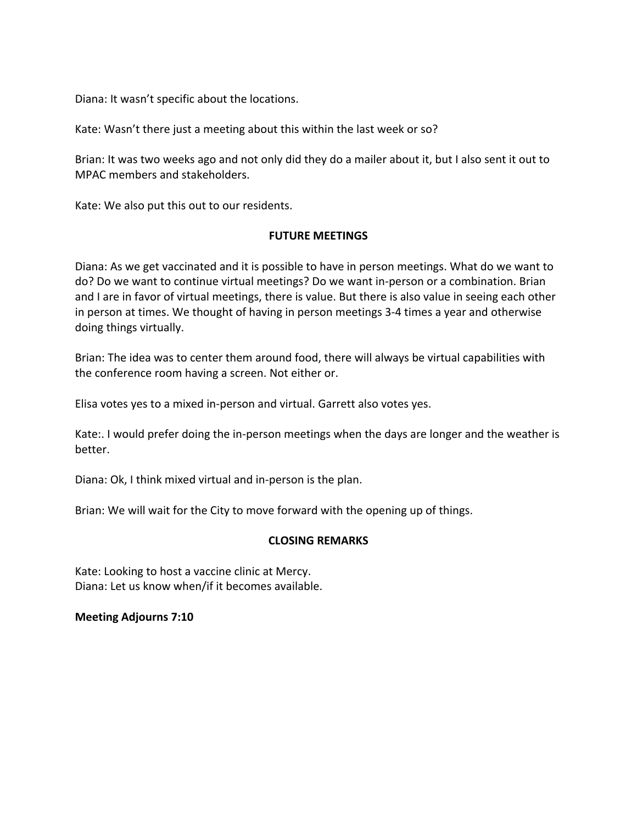Diana: It wasn't specific about the locations.

Kate: Wasn't there just a meeting about this within the last week or so?

Brian: It was two weeks ago and not only did they do a mailer about it, but I also sent it out to MPAC members and stakeholders.

Kate: We also put this out to our residents.

#### **FUTURE MEETINGS**

Diana: As we get vaccinated and it is possible to have in person meetings. What do we want to do? Do we want to continue virtual meetings? Do we want in-person or a combination. Brian and I are in favor of virtual meetings, there is value. But there is also value in seeing each other in person at times. We thought of having in person meetings 3-4 times a year and otherwise doing things virtually.

Brian: The idea was to center them around food, there will always be virtual capabilities with the conference room having a screen. Not either or.

Elisa votes yes to a mixed in-person and virtual. Garrett also votes yes.

Kate:. I would prefer doing the in-person meetings when the days are longer and the weather is better.

Diana: Ok, I think mixed virtual and in-person is the plan.

Brian: We will wait for the City to move forward with the opening up of things.

## **CLOSING REMARKS**

Kate: Looking to host a vaccine clinic at Mercy. Diana: Let us know when/if it becomes available.

## **Meeting Adjourns 7:10**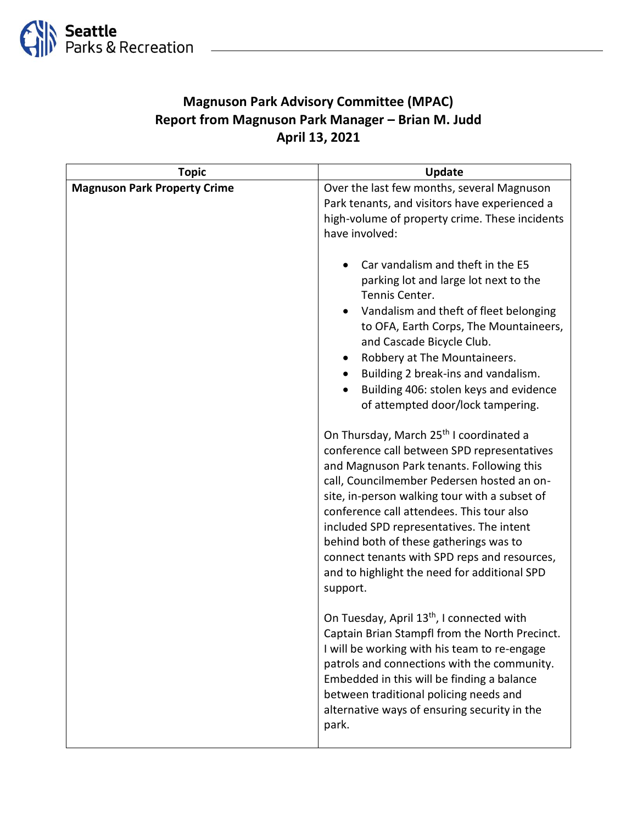

# **Magnuson Park Advisory Committee (MPAC) Report from Magnuson Park Manager – Brian M. Judd April 13, 2021**

| <b>Topic</b>                        | <b>Update</b>                                                                                                                                                                                                                                                                                                                                                                                                                                                                                 |
|-------------------------------------|-----------------------------------------------------------------------------------------------------------------------------------------------------------------------------------------------------------------------------------------------------------------------------------------------------------------------------------------------------------------------------------------------------------------------------------------------------------------------------------------------|
| <b>Magnuson Park Property Crime</b> | Over the last few months, several Magnuson<br>Park tenants, and visitors have experienced a<br>high-volume of property crime. These incidents<br>have involved:<br>Car vandalism and theft in the E5                                                                                                                                                                                                                                                                                          |
|                                     | parking lot and large lot next to the<br>Tennis Center.<br>Vandalism and theft of fleet belonging<br>to OFA, Earth Corps, The Mountaineers,<br>and Cascade Bicycle Club.<br>Robbery at The Mountaineers.<br>٠<br>Building 2 break-ins and vandalism.<br>Building 406: stolen keys and evidence<br>of attempted door/lock tampering.                                                                                                                                                           |
|                                     | On Thursday, March 25 <sup>th</sup> I coordinated a<br>conference call between SPD representatives<br>and Magnuson Park tenants. Following this<br>call, Councilmember Pedersen hosted an on-<br>site, in-person walking tour with a subset of<br>conference call attendees. This tour also<br>included SPD representatives. The intent<br>behind both of these gatherings was to<br>connect tenants with SPD reps and resources,<br>and to highlight the need for additional SPD<br>support. |
|                                     | On Tuesday, April 13 <sup>th</sup> , I connected with<br>Captain Brian Stampfl from the North Precinct.<br>I will be working with his team to re-engage<br>patrols and connections with the community.<br>Embedded in this will be finding a balance<br>between traditional policing needs and<br>alternative ways of ensuring security in the<br>park.                                                                                                                                       |